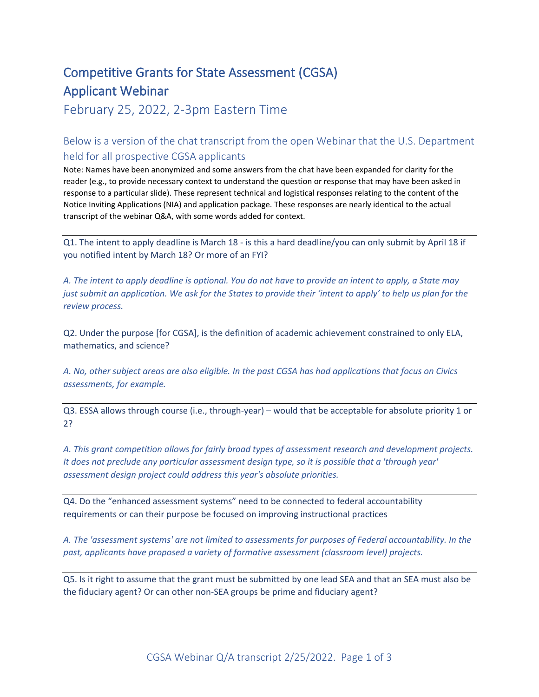## Competitive Grants for State Assessment (CGSA) Applicant Webinar

February 25, 2022, 2-3pm Eastern Time

Below is a version of the chat transcript from the open Webinar that the U.S. Department held for all prospective CGSA applicants

Note: Names have been anonymized and some answers from the chat have been expanded for clarity for the reader (e.g., to provide necessary context to understand the question or response that may have been asked in response to a particular slide). These represent technical and logistical responses relating to the content of the Notice Inviting Applications (NIA) and application package. These responses are nearly identical to the actual transcript of the webinar Q&A, with some words added for context.

Q1. The intent to apply deadline is March 18 - is this a hard deadline/you can only submit by April 18 if you notified intent by March 18? Or more of an FYI?

*A. The intent to apply deadline is optional. You do not have to provide an intent to apply, a State may just submit an application. We ask for the States to provide their 'intent to apply' to help us plan for the review process.*

Q2. Under the purpose [for CGSA], is the definition of academic achievement constrained to only ELA, mathematics, and science?

*A. No, other subject areas are also eligible. In the past CGSA has had applications that focus on Civics assessments, for example.*

Q3. ESSA allows through course (i.e., through-year) – would that be acceptable for absolute priority 1 or 2?

*A. This grant competition allows for fairly broad types of assessment research and development projects. It does not preclude any particular assessment design type, so it is possible that a 'through year' assessment design project could address this year's absolute priorities.*

Q4. Do the "enhanced assessment systems" need to be connected to federal accountability requirements or can their purpose be focused on improving instructional practices

*A. The 'assessment systems' are not limited to assessments for purposes of Federal accountability. In the past, applicants have proposed a variety of formative assessment (classroom level) projects.*

Q5. Is it right to assume that the grant must be submitted by one lead SEA and that an SEA must also be the fiduciary agent? Or can other non-SEA groups be prime and fiduciary agent?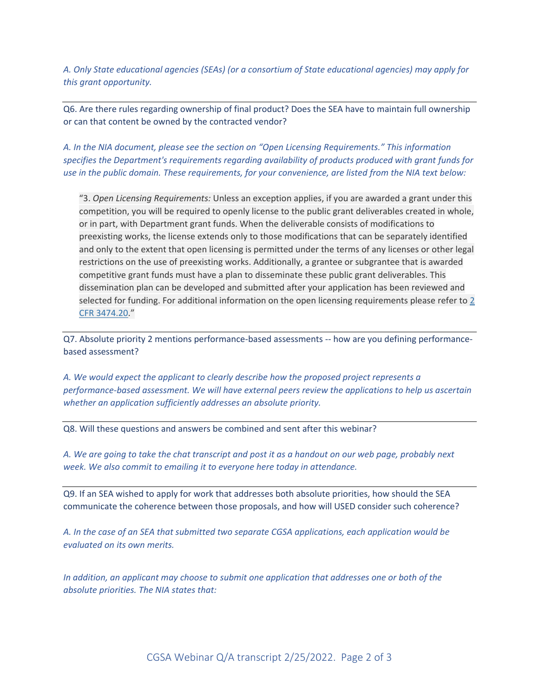*A. Only State educational agencies (SEAs) (or a consortium of State educational agencies) may apply for this grant opportunity.*

Q6. Are there rules regarding ownership of final product? Does the SEA have to maintain full ownership or can that content be owned by the contracted vendor?

*A. In the NIA document, please see the section on "Open Licensing Requirements." This information specifies the Department's requirements regarding availability of products produced with grant funds for use in the public domain. These requirements, for your convenience, are listed from the NIA text below:*

"3. *Open Licensing Requirements:* Unless an exception applies, if you are awarded a grant under this competition, you will be required to openly license to the public grant deliverables created in whole, or in part, with Department grant funds. When the deliverable consists of modifications to preexisting works, the license extends only to those modifications that can be separately identified and only to the extent that open licensing is permitted under the terms of any licenses or other legal restrictions on the use of preexisting works. Additionally, a grantee or subgrantee that is awarded competitive grant funds must have a plan to disseminate these public grant deliverables. This dissemination plan can be developed and submitted after your application has been reviewed and selected for funding. For additional information on the open licensing requirements please refer to [2](https://www.federalregister.gov/select-citation/2022/02/16/2-CFR-3474.20) CFR [3474.20](https://www.federalregister.gov/select-citation/2022/02/16/2-CFR-3474.20)."

Q7. Absolute priority 2 mentions performance-based assessments -- how are you defining performancebased assessment?

*A. We would expect the applicant to clearly describe how the proposed project represents a performance-based assessment. We will have external peers review the applications to help us ascertain whether an application sufficiently addresses an absolute priority.*

Q8. Will these questions and answers be combined and sent after this webinar?

*A. We are going to take the chat transcript and post it as a handout on our web page, probably next week. We also commit to emailing it to everyone here today in attendance.*

Q9. If an SEA wished to apply for work that addresses both absolute priorities, how should the SEA communicate the coherence between those proposals, and how will USED consider such coherence?

*A. In the case of an SEA that submitted two separate CGSA applications, each application would be evaluated on its own merits.*

*In addition, an applicant may choose to submit one application that addresses one or both of the absolute priorities. The NIA states that:*